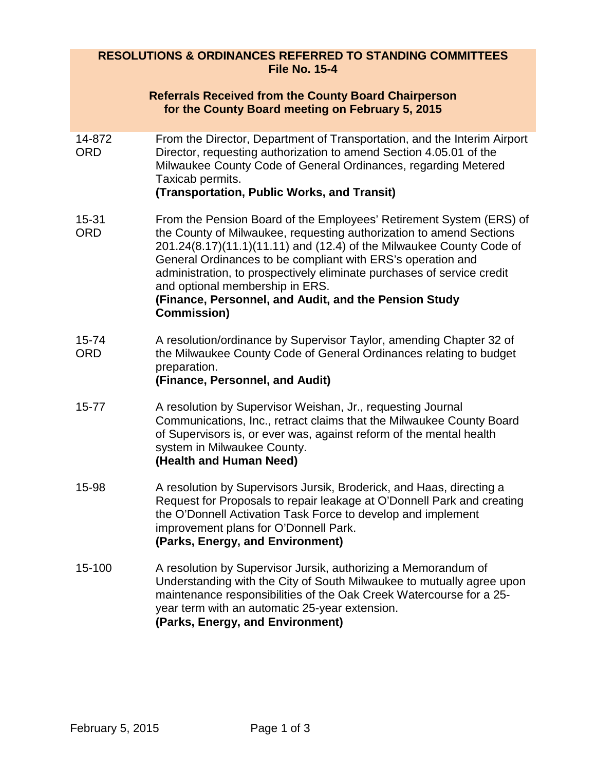## **RESOLUTIONS & ORDINANCES REFERRED TO STANDING COMMITTEES File No. 15-4**

|                      | <b>Referrals Received from the County Board Chairperson</b><br>for the County Board meeting on February 5, 2015                                                                                                                                                                                                                                                                                                                                                               |
|----------------------|-------------------------------------------------------------------------------------------------------------------------------------------------------------------------------------------------------------------------------------------------------------------------------------------------------------------------------------------------------------------------------------------------------------------------------------------------------------------------------|
| 14-872<br><b>ORD</b> | From the Director, Department of Transportation, and the Interim Airport<br>Director, requesting authorization to amend Section 4.05.01 of the<br>Milwaukee County Code of General Ordinances, regarding Metered<br>Taxicab permits.                                                                                                                                                                                                                                          |
|                      | (Transportation, Public Works, and Transit)                                                                                                                                                                                                                                                                                                                                                                                                                                   |
| 15-31<br><b>ORD</b>  | From the Pension Board of the Employees' Retirement System (ERS) of<br>the County of Milwaukee, requesting authorization to amend Sections<br>201.24(8.17)(11.1)(11.11) and (12.4) of the Milwaukee County Code of<br>General Ordinances to be compliant with ERS's operation and<br>administration, to prospectively eliminate purchases of service credit<br>and optional membership in ERS.<br>(Finance, Personnel, and Audit, and the Pension Study<br><b>Commission)</b> |
| 15-74<br><b>ORD</b>  | A resolution/ordinance by Supervisor Taylor, amending Chapter 32 of<br>the Milwaukee County Code of General Ordinances relating to budget<br>preparation.<br>(Finance, Personnel, and Audit)                                                                                                                                                                                                                                                                                  |
| $15 - 77$            | A resolution by Supervisor Weishan, Jr., requesting Journal<br>Communications, Inc., retract claims that the Milwaukee County Board<br>of Supervisors is, or ever was, against reform of the mental health<br>system in Milwaukee County.<br>(Health and Human Need)                                                                                                                                                                                                          |
| 15-98                | A resolution by Supervisors Jursik, Broderick, and Haas, directing a<br>Request for Proposals to repair leakage at O'Donnell Park and creating<br>the O'Donnell Activation Task Force to develop and implement<br>improvement plans for O'Donnell Park.<br>(Parks, Energy, and Environment)                                                                                                                                                                                   |
| 15-100               | A resolution by Supervisor Jursik, authorizing a Memorandum of<br>Understanding with the City of South Milwaukee to mutually agree upon<br>maintenance responsibilities of the Oak Creek Watercourse for a 25-<br>year term with an automatic 25-year extension.                                                                                                                                                                                                              |

**(Parks, Energy, and Environment)**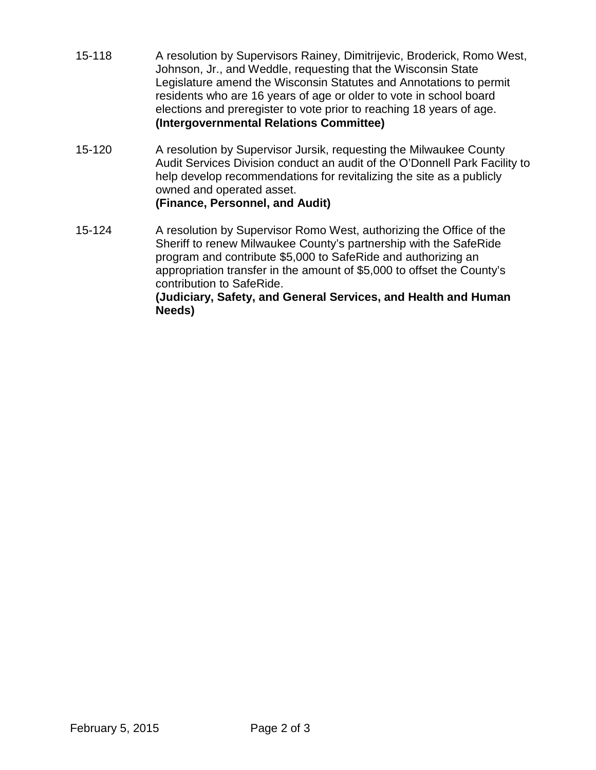- 15-118 A resolution by Supervisors Rainey, Dimitrijevic, Broderick, Romo West, Johnson, Jr., and Weddle, requesting that the Wisconsin State Legislature amend the Wisconsin Statutes and Annotations to permit residents who are 16 years of age or older to vote in school board elections and preregister to vote prior to reaching 18 years of age. **(Intergovernmental Relations Committee)**
- 15-120 A resolution by Supervisor Jursik, requesting the Milwaukee County Audit Services Division conduct an audit of the O'Donnell Park Facility to help develop recommendations for revitalizing the site as a publicly owned and operated asset. **(Finance, Personnel, and Audit)**
- 15-124 A resolution by Supervisor Romo West, authorizing the Office of the Sheriff to renew Milwaukee County's partnership with the SafeRide program and contribute \$5,000 to SafeRide and authorizing an appropriation transfer in the amount of \$5,000 to offset the County's contribution to SafeRide. **(Judiciary, Safety, and General Services, and Health and Human Needs)**